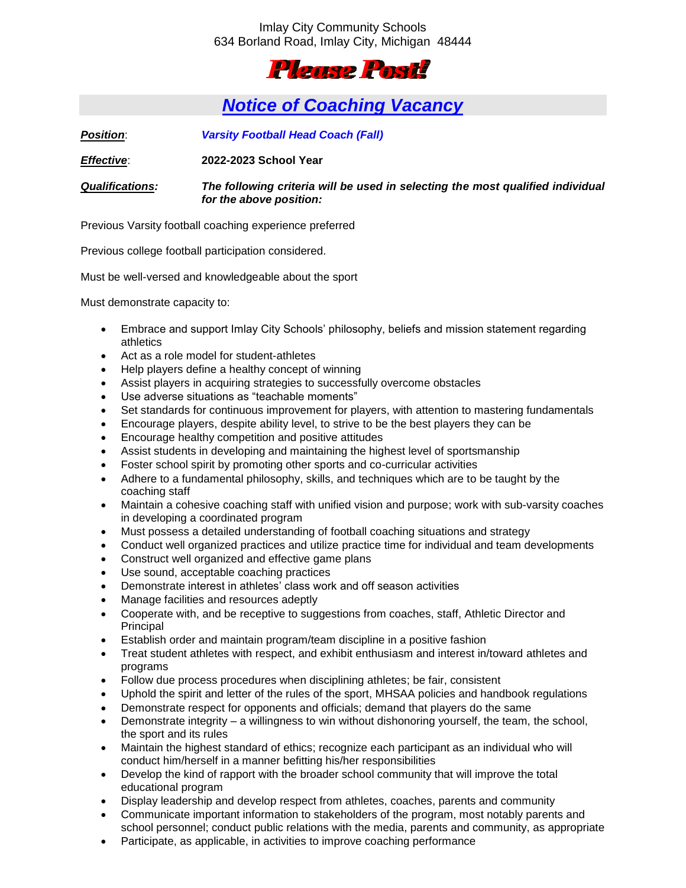## Imlay City Community Schools 634 Borland Road, Imlay City, Michigan 48444



## *Notice of Coaching Vacancy*

*Position*: *Varsity Football Head Coach (Fall)*

*Effective*: **2022-2023 School Year**

*Qualifications: The following criteria will be used in selecting the most qualified individual for the above position:*

Previous Varsity football coaching experience preferred

Previous college football participation considered.

Must be well-versed and knowledgeable about the sport

Must demonstrate capacity to:

- Embrace and support Imlay City Schools' philosophy, beliefs and mission statement regarding athletics
- Act as a role model for student-athletes
- Help players define a healthy concept of winning
- Assist players in acquiring strategies to successfully overcome obstacles
- Use adverse situations as "teachable moments"
- Set standards for continuous improvement for players, with attention to mastering fundamentals
- Encourage players, despite ability level, to strive to be the best players they can be
- Encourage healthy competition and positive attitudes
- Assist students in developing and maintaining the highest level of sportsmanship
- Foster school spirit by promoting other sports and co-curricular activities
- Adhere to a fundamental philosophy, skills, and techniques which are to be taught by the coaching staff
- Maintain a cohesive coaching staff with unified vision and purpose; work with sub-varsity coaches in developing a coordinated program
- Must possess a detailed understanding of football coaching situations and strategy
- Conduct well organized practices and utilize practice time for individual and team developments
- Construct well organized and effective game plans
- Use sound, acceptable coaching practices
- Demonstrate interest in athletes' class work and off season activities
- Manage facilities and resources adeptly
- Cooperate with, and be receptive to suggestions from coaches, staff, Athletic Director and Principal
- Establish order and maintain program/team discipline in a positive fashion
- Treat student athletes with respect, and exhibit enthusiasm and interest in/toward athletes and programs
- Follow due process procedures when disciplining athletes; be fair, consistent
- Uphold the spirit and letter of the rules of the sport, MHSAA policies and handbook regulations
- Demonstrate respect for opponents and officials; demand that players do the same
- Demonstrate integrity a willingness to win without dishonoring yourself, the team, the school, the sport and its rules
- Maintain the highest standard of ethics; recognize each participant as an individual who will conduct him/herself in a manner befitting his/her responsibilities
- Develop the kind of rapport with the broader school community that will improve the total educational program
- Display leadership and develop respect from athletes, coaches, parents and community
- Communicate important information to stakeholders of the program, most notably parents and school personnel; conduct public relations with the media, parents and community, as appropriate
- Participate, as applicable, in activities to improve coaching performance